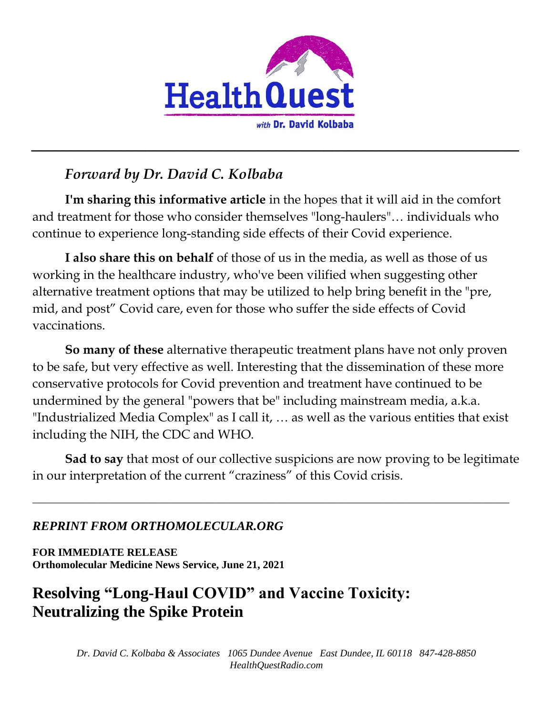

# *Forward by Dr. David C. Kolbaba*

**I'm sharing this informative article** in the hopes that it will aid in the comfort and treatment for those who consider themselves "long-haulers"… individuals who continue to experience long-standing side effects of their Covid experience.

*\_\_\_\_\_\_\_\_\_\_\_\_\_\_\_\_\_\_\_\_\_\_\_\_\_\_\_\_\_\_\_\_\_\_\_\_\_\_\_\_\_\_\_\_\_\_\_\_\_\_\_\_\_\_\_\_\_\_\_\_*

**I also share this on behalf** of those of us in the media, as well as those of us working in the healthcare industry, who've been vilified when suggesting other alternative treatment options that may be utilized to help bring benefit in the "pre, mid, and post" Covid care, even for those who suffer the side effects of Covid vaccinations.

**So many of these** alternative therapeutic treatment plans have not only proven to be safe, but very effective as well. Interesting that the dissemination of these more conservative protocols for Covid prevention and treatment have continued to be undermined by the general "powers that be" including mainstream media, a.k.a. "Industrialized Media Complex" as I call it, … as well as the various entities that exist including the NIH, the CDC and WHO.

**Sad to say** that most of our collective suspicions are now proving to be legitimate in our interpretation of the current "craziness" of this Covid crisis.

**\_\_\_\_\_\_\_\_\_\_\_\_\_\_\_\_\_\_\_\_\_\_\_\_\_\_\_\_\_\_\_\_\_\_\_\_\_\_\_\_\_\_\_\_\_\_\_\_\_\_\_\_\_\_\_\_\_\_\_\_\_\_\_\_\_\_\_\_\_\_\_\_\_\_\_\_\_\_\_\_\_\_\_\_\_\_\_\_**

## *REPRINT FROM ORTHOMOLECULAR.ORG*

**FOR IMMEDIATE RELEASE Orthomolecular Medicine News Service, June 21, 2021**

# **Resolving "Long-Haul COVID" and Vaccine Toxicity: Neutralizing the Spike Protein**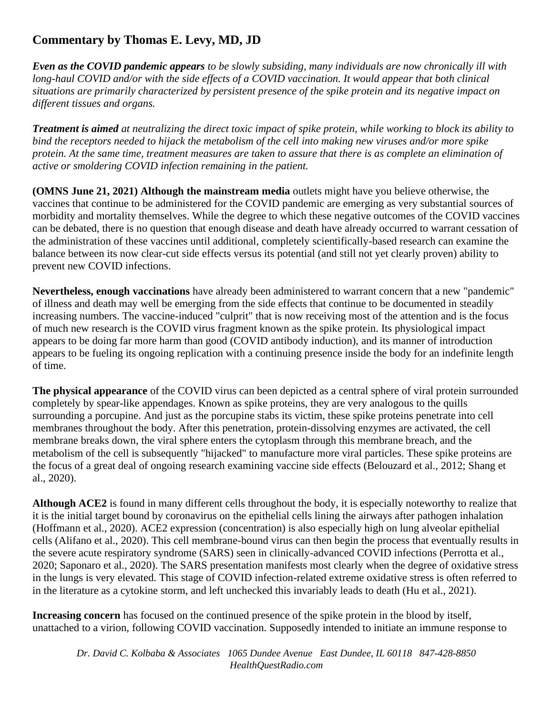## **Commentary by Thomas E. Levy, MD, JD**

*Even as the COVID pandemic appears to be slowly subsiding, many individuals are now chronically ill with long-haul COVID and/or with the side effects of a COVID vaccination. It would appear that both clinical situations are primarily characterized by persistent presence of the spike protein and its negative impact on different tissues and organs.*

*Treatment is aimed at neutralizing the direct toxic impact of spike protein, while working to block its ability to bind the receptors needed to hijack the metabolism of the cell into making new viruses and/or more spike protein. At the same time, treatment measures are taken to assure that there is as complete an elimination of active or smoldering COVID infection remaining in the patient.*

**(OMNS June 21, 2021) Although the mainstream media** outlets might have you believe otherwise, the vaccines that continue to be administered for the COVID pandemic are emerging as very substantial sources of morbidity and mortality themselves. While the degree to which these negative outcomes of the COVID vaccines can be debated, there is no question that enough disease and death have already occurred to warrant cessation of the administration of these vaccines until additional, completely scientifically-based research can examine the balance between its now clear-cut side effects versus its potential (and still not yet clearly proven) ability to prevent new COVID infections.

**Nevertheless, enough vaccinations** have already been administered to warrant concern that a new "pandemic" of illness and death may well be emerging from the side effects that continue to be documented in steadily increasing numbers. The vaccine-induced "culprit" that is now receiving most of the attention and is the focus of much new research is the COVID virus fragment known as the spike protein. Its physiological impact appears to be doing far more harm than good (COVID antibody induction), and its manner of introduction appears to be fueling its ongoing replication with a continuing presence inside the body for an indefinite length of time.

**The physical appearance** of the COVID virus can been depicted as a central sphere of viral protein surrounded completely by spear-like appendages. Known as spike proteins, they are very analogous to the quills surrounding a porcupine. And just as the porcupine stabs its victim, these spike proteins penetrate into cell membranes throughout the body. After this penetration, protein-dissolving enzymes are activated, the cell membrane breaks down, the viral sphere enters the cytoplasm through this membrane breach, and the metabolism of the cell is subsequently "hijacked" to manufacture more viral particles. These spike proteins are the focus of a great deal of ongoing research examining vaccine side effects (Belouzard et al., 2012; Shang et al., 2020).

**Although ACE2** is found in many different cells throughout the body, it is especially noteworthy to realize that it is the initial target bound by coronavirus on the epithelial cells lining the airways after pathogen inhalation (Hoffmann et al., 2020). ACE2 expression (concentration) is also especially high on lung alveolar epithelial cells (Alifano et al., 2020). This cell membrane-bound virus can then begin the process that eventually results in the severe acute respiratory syndrome (SARS) seen in clinically-advanced COVID infections (Perrotta et al., 2020; Saponaro et al., 2020). The SARS presentation manifests most clearly when the degree of oxidative stress in the lungs is very elevated. This stage of COVID infection-related extreme oxidative stress is often referred to in the literature as a cytokine storm, and left unchecked this invariably leads to death (Hu et al., 2021).

**Increasing concern** has focused on the continued presence of the spike protein in the blood by itself, unattached to a virion, following COVID vaccination. Supposedly intended to initiate an immune response to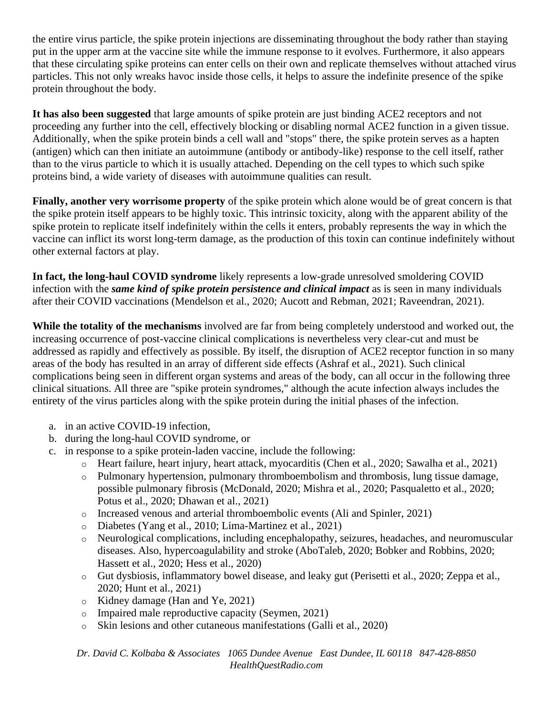the entire virus particle, the spike protein injections are disseminating throughout the body rather than staying put in the upper arm at the vaccine site while the immune response to it evolves. Furthermore, it also appears that these circulating spike proteins can enter cells on their own and replicate themselves without attached virus particles. This not only wreaks havoc inside those cells, it helps to assure the indefinite presence of the spike protein throughout the body.

**It has also been suggested** that large amounts of spike protein are just binding ACE2 receptors and not proceeding any further into the cell, effectively blocking or disabling normal ACE2 function in a given tissue. Additionally, when the spike protein binds a cell wall and "stops" there, the spike protein serves as a hapten (antigen) which can then initiate an autoimmune (antibody or antibody-like) response to the cell itself, rather than to the virus particle to which it is usually attached. Depending on the cell types to which such spike proteins bind, a wide variety of diseases with autoimmune qualities can result.

**Finally, another very worrisome property** of the spike protein which alone would be of great concern is that the spike protein itself appears to be highly toxic. This intrinsic toxicity, along with the apparent ability of the spike protein to replicate itself indefinitely within the cells it enters, probably represents the way in which the vaccine can inflict its worst long-term damage, as the production of this toxin can continue indefinitely without other external factors at play.

**In fact, the long-haul COVID syndrome** likely represents a low-grade unresolved smoldering COVID infection with the *same kind of spike protein persistence and clinical impact* as is seen in many individuals after their COVID vaccinations (Mendelson et al., 2020; Aucott and Rebman, 2021; Raveendran, 2021).

**While the totality of the mechanisms** involved are far from being completely understood and worked out, the increasing occurrence of post-vaccine clinical complications is nevertheless very clear-cut and must be addressed as rapidly and effectively as possible. By itself, the disruption of ACE2 receptor function in so many areas of the body has resulted in an array of different side effects (Ashraf et al., 2021). Such clinical complications being seen in different organ systems and areas of the body, can all occur in the following three clinical situations. All three are "spike protein syndromes," although the acute infection always includes the entirety of the virus particles along with the spike protein during the initial phases of the infection.

- a. in an active COVID-19 infection,
- b. during the long-haul COVID syndrome, or
- c. in response to a spike protein-laden vaccine, include the following:
	- o Heart failure, heart injury, heart attack, myocarditis (Chen et al., 2020; Sawalha et al., 2021)
	- o Pulmonary hypertension, pulmonary thromboembolism and thrombosis, lung tissue damage, possible pulmonary fibrosis (McDonald, 2020; Mishra et al., 2020; Pasqualetto et al., 2020; Potus et al., 2020; Dhawan et al., 2021)
	- o Increased venous and arterial thromboembolic events (Ali and Spinler, 2021)
	- o Diabetes (Yang et al., 2010; Lima-Martinez et al., 2021)
	- o Neurological complications, including encephalopathy, seizures, headaches, and neuromuscular diseases. Also, hypercoagulability and stroke (AboTaleb, 2020; Bobker and Robbins, 2020; Hassett et al., 2020; Hess et al., 2020)
	- o Gut dysbiosis, inflammatory bowel disease, and leaky gut (Perisetti et al., 2020; Zeppa et al., 2020; Hunt et al., 2021)
	- o Kidney damage (Han and Ye, 2021)
	- o Impaired male reproductive capacity (Seymen, 2021)
	- o Skin lesions and other cutaneous manifestations (Galli et al., 2020)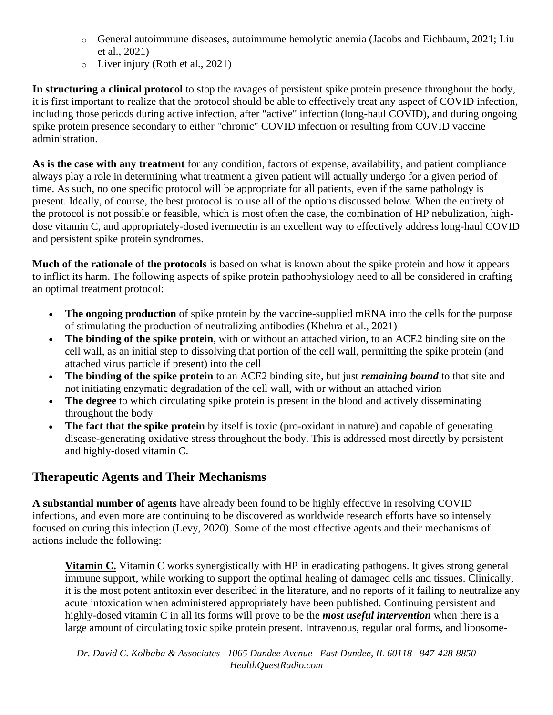- o General autoimmune diseases, autoimmune hemolytic anemia (Jacobs and Eichbaum, 2021; Liu et al., 2021)
- o Liver injury (Roth et al., 2021)

**In structuring a clinical protocol** to stop the ravages of persistent spike protein presence throughout the body, it is first important to realize that the protocol should be able to effectively treat any aspect of COVID infection, including those periods during active infection, after "active" infection (long-haul COVID), and during ongoing spike protein presence secondary to either "chronic" COVID infection or resulting from COVID vaccine administration.

**As is the case with any treatment** for any condition, factors of expense, availability, and patient compliance always play a role in determining what treatment a given patient will actually undergo for a given period of time. As such, no one specific protocol will be appropriate for all patients, even if the same pathology is present. Ideally, of course, the best protocol is to use all of the options discussed below. When the entirety of the protocol is not possible or feasible, which is most often the case, the combination of HP nebulization, highdose vitamin C, and appropriately-dosed ivermectin is an excellent way to effectively address long-haul COVID and persistent spike protein syndromes.

**Much of the rationale of the protocols** is based on what is known about the spike protein and how it appears to inflict its harm. The following aspects of spike protein pathophysiology need to all be considered in crafting an optimal treatment protocol:

- **The ongoing production** of spike protein by the vaccine-supplied mRNA into the cells for the purpose of stimulating the production of neutralizing antibodies (Khehra et al., 2021)
- **The binding of the spike protein**, with or without an attached virion, to an ACE2 binding site on the cell wall, as an initial step to dissolving that portion of the cell wall, permitting the spike protein (and attached virus particle if present) into the cell
- **The binding of the spike protein** to an ACE2 binding site, but just *remaining bound* to that site and not initiating enzymatic degradation of the cell wall, with or without an attached virion
- **The degree** to which circulating spike protein is present in the blood and actively disseminating throughout the body
- **The fact that the spike protein** by itself is toxic (pro-oxidant in nature) and capable of generating disease-generating oxidative stress throughout the body. This is addressed most directly by persistent and highly-dosed vitamin C.

### **Therapeutic Agents and Their Mechanisms**

**A substantial number of agents** have already been found to be highly effective in resolving COVID infections, and even more are continuing to be discovered as worldwide research efforts have so intensely focused on curing this infection (Levy, 2020). Some of the most effective agents and their mechanisms of actions include the following:

**Vitamin C.** Vitamin C works synergistically with HP in eradicating pathogens. It gives strong general immune support, while working to support the optimal healing of damaged cells and tissues. Clinically, it is the most potent antitoxin ever described in the literature, and no reports of it failing to neutralize any acute intoxication when administered appropriately have been published. Continuing persistent and highly-dosed vitamin C in all its forms will prove to be the *most useful intervention* when there is a large amount of circulating toxic spike protein present. Intravenous, regular oral forms, and liposome-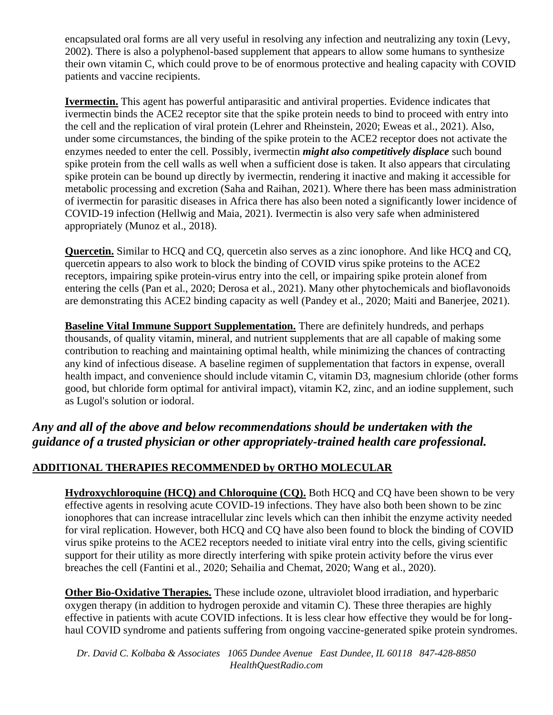encapsulated oral forms are all very useful in resolving any infection and neutralizing any toxin (Levy, 2002). There is also a polyphenol-based supplement that appears to allow some humans to synthesize their own vitamin C, which could prove to be of enormous protective and healing capacity with COVID patients and vaccine recipients.

**Ivermectin.** This agent has powerful antiparasitic and antiviral properties. Evidence indicates that ivermectin binds the ACE2 receptor site that the spike protein needs to bind to proceed with entry into the cell and the replication of viral protein (Lehrer and Rheinstein, 2020; Eweas et al., 2021). Also, under some circumstances, the binding of the spike protein to the ACE2 receptor does not activate the enzymes needed to enter the cell. Possibly, ivermectin *might also competitively displace* such bound spike protein from the cell walls as well when a sufficient dose is taken. It also appears that circulating spike protein can be bound up directly by ivermectin, rendering it inactive and making it accessible for metabolic processing and excretion (Saha and Raihan, 2021). Where there has been mass administration of ivermectin for parasitic diseases in Africa there has also been noted a significantly lower incidence of COVID-19 infection (Hellwig and Maia, 2021). Ivermectin is also very safe when administered appropriately (Munoz et al., 2018).

**Quercetin.** Similar to HCQ and CQ, quercetin also serves as a zinc ionophore. And like HCQ and CQ, quercetin appears to also work to block the binding of COVID virus spike proteins to the ACE2 receptors, impairing spike protein-virus entry into the cell, or impairing spike protein alonef from entering the cells (Pan et al., 2020; Derosa et al., 2021). Many other phytochemicals and bioflavonoids are demonstrating this ACE2 binding capacity as well (Pandey et al., 2020; Maiti and Banerjee, 2021).

**Baseline Vital Immune Support Supplementation.** There are definitely hundreds, and perhaps thousands, of quality vitamin, mineral, and nutrient supplements that are all capable of making some contribution to reaching and maintaining optimal health, while minimizing the chances of contracting any kind of infectious disease. A baseline regimen of supplementation that factors in expense, overall health impact, and convenience should include vitamin C, vitamin D3, magnesium chloride (other forms good, but chloride form optimal for antiviral impact), vitamin K2, zinc, and an iodine supplement, such as Lugol's solution or iodoral.

### *Any and all of the above and below recommendations should be undertaken with the guidance of a trusted physician or other appropriately-trained health care professional.*

#### **ADDITIONAL THERAPIES RECOMMENDED by ORTHO MOLECULAR**

**Hydroxychloroquine (HCO) and Chloroquine (CO).** Both HCO and CO have been shown to be very effective agents in resolving acute COVID-19 infections. They have also both been shown to be zinc ionophores that can increase intracellular zinc levels which can then inhibit the enzyme activity needed for viral replication. However, both HCQ and CQ have also been found to block the binding of COVID virus spike proteins to the ACE2 receptors needed to initiate viral entry into the cells, giving scientific support for their utility as more directly interfering with spike protein activity before the virus ever breaches the cell (Fantini et al., 2020; Sehailia and Chemat, 2020; Wang et al., 2020).

**Other Bio-Oxidative Therapies.** These include ozone, ultraviolet blood irradiation, and hyperbaric oxygen therapy (in addition to hydrogen peroxide and vitamin C). These three therapies are highly effective in patients with acute COVID infections. It is less clear how effective they would be for longhaul COVID syndrome and patients suffering from ongoing vaccine-generated spike protein syndromes.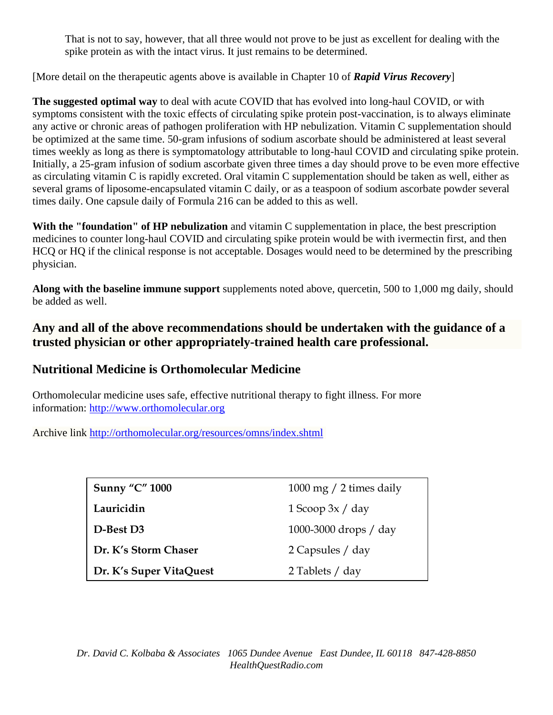That is not to say, however, that all three would not prove to be just as excellent for dealing with the spike protein as with the intact virus. It just remains to be determined.

[More detail on the therapeutic agents above is available in Chapter 10 of *Rapid Virus Recovery*]

**The suggested optimal way** to deal with acute COVID that has evolved into long-haul COVID, or with symptoms consistent with the toxic effects of circulating spike protein post-vaccination, is to always eliminate any active or chronic areas of pathogen proliferation with HP nebulization. Vitamin C supplementation should be optimized at the same time. 50-gram infusions of sodium ascorbate should be administered at least several times weekly as long as there is symptomatology attributable to long-haul COVID and circulating spike protein. Initially, a 25-gram infusion of sodium ascorbate given three times a day should prove to be even more effective as circulating vitamin C is rapidly excreted. Oral vitamin C supplementation should be taken as well, either as several grams of liposome-encapsulated vitamin C daily, or as a teaspoon of sodium ascorbate powder several times daily. One capsule daily of Formula 216 can be added to this as well.

**With the "foundation" of HP nebulization** and vitamin C supplementation in place, the best prescription medicines to counter long-haul COVID and circulating spike protein would be with ivermectin first, and then HCQ or HQ if the clinical response is not acceptable. Dosages would need to be determined by the prescribing physician.

**Along with the baseline immune support** supplements noted above, quercetin, 500 to 1,000 mg daily, should be added as well.

**Any and all of the above recommendations should be undertaken with the guidance of a trusted physician or other appropriately-trained health care professional.**

### **Nutritional Medicine is Orthomolecular Medicine**

Orthomolecular medicine uses safe, effective nutritional therapy to fight illness. For more information: [http://www.orthomolecular.org](http://www.orthomolecular.org/)

Archive link <http://orthomolecular.org/resources/omns/index.shtml>

| <b>Sunny "C" 1000</b>   | 1000 mg $/$ 2 times daily |
|-------------------------|---------------------------|
| Lauricidin              | $1$ Scoop $3x / day$      |
| D-Best D3               | 1000-3000 drops $/$ day   |
| Dr. K's Storm Chaser    | 2 Capsules / day          |
| Dr. K's Super VitaQuest | 2 Tablets / day           |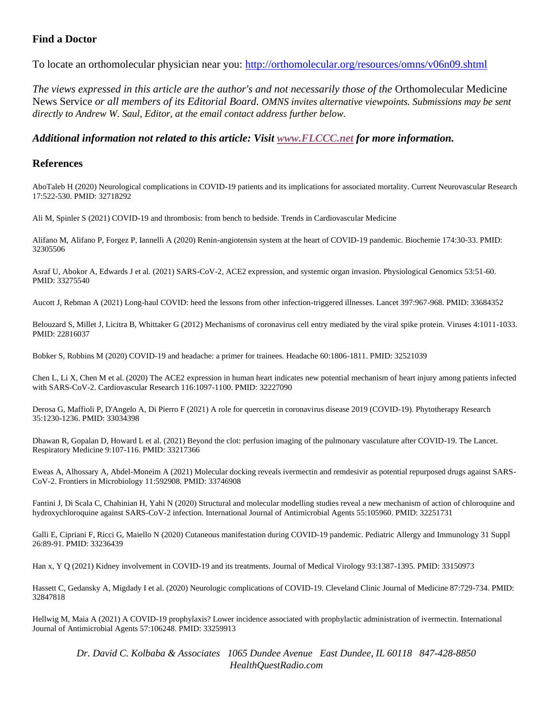#### **Find a Doctor**

To locate an orthomolecular physician near you: <http://orthomolecular.org/resources/omns/v06n09.shtml>

*The views expressed in this article are the author's and not necessarily those of the* Orthomolecular Medicine News Service *or all members of its Editorial Board. OMNS invites alternative viewpoints. Submissions may be sent directly to Andrew W. Saul, Editor, at the email contact address further below.*

*Additional information not related to this article: Visit [www.FLCCC.net](http://www.flccc.net/) for more information.*

#### **References**

AboTaleb H (2020) Neurological complications in COVID-19 patients and its implications for associated mortality. Current Neurovascular Research 17:522-530. PMID: 32718292

Ali M, Spinler S (2021) COVID-19 and thrombosis: from bench to bedside. Trends in Cardiovascular Medicine

Alifano M, Alifano P, Forgez P, Iannelli A (2020) Renin-angiotensin system at the heart of COVID-19 pandemic. Biochemie 174:30-33. PMID: 32305506

Asraf U, Abokor A, Edwards J et al. (2021) SARS-CoV-2, ACE2 expression, and systemic organ invasion. Physiological Genomics 53:51-60. PMID: 33275540

Aucott J, Rebman A (2021) Long-haul COVID: heed the lessons from other infection-triggered illnesses. Lancet 397:967-968. PMID: 33684352

Belouzard S, Millet J, Licitra B, Whittaker G (2012) Mechanisms of coronavirus cell entry mediated by the viral spike protein. Viruses 4:1011-1033. PMID: 22816037

Bobker S, Robbins M (2020) COVID-19 and headache: a primer for trainees. Headache 60:1806-1811. PMID: 32521039

Chen L, Li X, Chen M et al. (2020) The ACE2 expression in human heart indicates new potential mechanism of heart injury among patients infected with SARS-CoV-2. Cardiovascular Research 116:1097-1100. PMID: 32227090

Derosa G, Maffioli P, D'Angelo A, Di Pierro F (2021) A role for quercetin in coronavirus disease 2019 (COVID-19). Phytotherapy Research 35:1230-1236. PMID: 33034398

Dhawan R, Gopalan D, Howard L et al. (2021) Beyond the clot: perfusion imaging of the pulmonary vasculature after COVID-19. The Lancet. Respiratory Medicine 9:107-116. PMID: 33217366

Eweas A, Alhossary A, Abdel-Moneim A (2021) Molecular docking reveals ivermectin and remdesivir as potential repurposed drugs against SARS-CoV-2. Frontiers in Microbiology 11:592908. PMID: 33746908

Fantini J, Di Scala C, Chahinian H, Yahi N (2020) Structural and molecular modelling studies reveal a new mechanism of action of chloroquine and hydroxychloroquine against SARS-CoV-2 infection. International Journal of Antimicrobial Agents 55:105960. PMID: 32251731

Galli E, Cipriani F, Ricci G, Maiello N (2020) Cutaneous manifestation during COVID-19 pandemic. Pediatric Allergy and Immunology 31 Suppl 26:89-91. PMID: 33236439

Han x, Y Q (2021) Kidney involvement in COVID-19 and its treatments. Journal of Medical Virology 93:1387-1395. PMID: 33150973

Hassett C, Gedansky A, Migdady I et al. (2020) Neurologic complications of COVID-19. Cleveland Clinic Journal of Medicine 87:729-734. PMID: 32847818

Hellwig M, Maia A (2021) A COVID-19 prophylaxis? Lower incidence associated with prophylactic administration of ivermectin. International Journal of Antimicrobial Agents 57:106248. PMID: 33259913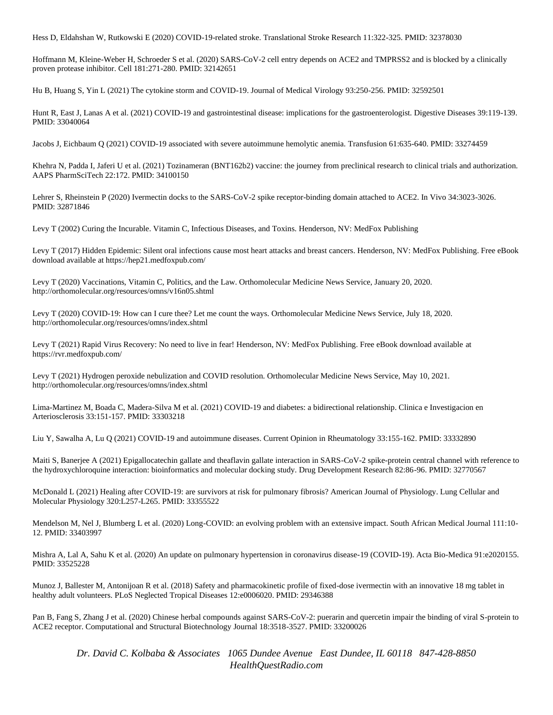Hess D, Eldahshan W, Rutkowski E (2020) COVID-19-related stroke. Translational Stroke Research 11:322-325. PMID: 32378030

Hoffmann M, Kleine-Weber H, Schroeder S et al. (2020) SARS-CoV-2 cell entry depends on ACE2 and TMPRSS2 and is blocked by a clinically proven protease inhibitor. Cell 181:271-280. PMID: 32142651

Hu B, Huang S, Yin L (2021) The cytokine storm and COVID-19. Journal of Medical Virology 93:250-256. PMID: 32592501

Hunt R, East J, Lanas A et al. (2021) COVID-19 and gastrointestinal disease: implications for the gastroenterologist. Digestive Diseases 39:119-139. PMID: 33040064

Jacobs J, Eichbaum Q (2021) COVID-19 associated with severe autoimmune hemolytic anemia. Transfusion 61:635-640. PMID: 33274459

Khehra N, Padda I, Jaferi U et al. (2021) Tozinameran (BNT162b2) vaccine: the journey from preclinical research to clinical trials and authorization. AAPS PharmSciTech 22:172. PMID: 34100150

Lehrer S, Rheinstein P (2020) Ivermectin docks to the SARS-CoV-2 spike receptor-binding domain attached to ACE2. In Vivo 34:3023-3026. PMID: 32871846

Levy T (2002) Curing the Incurable. Vitamin C, Infectious Diseases, and Toxins. Henderson, NV: MedFox Publishing

Levy T (2017) Hidden Epidemic: Silent oral infections cause most heart attacks and breast cancers. Henderson, NV: MedFox Publishing. Free eBook download available at https://hep21.medfoxpub.com/

Levy T (2020) Vaccinations, Vitamin C, Politics, and the Law. Orthomolecular Medicine News Service, January 20, 2020. http://orthomolecular.org/resources/omns/v16n05.shtml

Levy T (2020) COVID-19: How can I cure thee? Let me count the ways. Orthomolecular Medicine News Service, July 18, 2020. http://orthomolecular.org/resources/omns/index.shtml

Levy T (2021) Rapid Virus Recovery: No need to live in fear! Henderson, NV: MedFox Publishing. Free eBook download available at https://rvr.medfoxpub.com/

Levy T (2021) Hydrogen peroxide nebulization and COVID resolution. Orthomolecular Medicine News Service, May 10, 2021. http://orthomolecular.org/resources/omns/index.shtml

Lima-Martinez M, Boada C, Madera-Silva M et al. (2021) COVID-19 and diabetes: a bidirectional relationship. Clinica e Investigacion en Arteriosclerosis 33:151-157. PMID: 33303218

Liu Y, Sawalha A, Lu Q (2021) COVID-19 and autoimmune diseases. Current Opinion in Rheumatology 33:155-162. PMID: 33332890

Maiti S, Banerjee A (2021) Epigallocatechin gallate and theaflavin gallate interaction in SARS-CoV-2 spike-protein central channel with reference to the hydroxychloroquine interaction: bioinformatics and molecular docking study. Drug Development Research 82:86-96. PMID: 32770567

McDonald L (2021) Healing after COVID-19: are survivors at risk for pulmonary fibrosis? American Journal of Physiology. Lung Cellular and Molecular Physiology 320:L257-L265. PMID: 33355522

Mendelson M, Nel J, Blumberg L et al. (2020) Long-COVID: an evolving problem with an extensive impact. South African Medical Journal 111:10- 12. PMID: 33403997

Mishra A, Lal A, Sahu K et al. (2020) An update on pulmonary hypertension in coronavirus disease-19 (COVID-19). Acta Bio-Medica 91:e2020155. PMID: 33525228

Munoz J, Ballester M, Antonijoan R et al. (2018) Safety and pharmacokinetic profile of fixed-dose ivermectin with an innovative 18 mg tablet in healthy adult volunteers. PLoS Neglected Tropical Diseases 12:e0006020. PMID: 29346388

Pan B, Fang S, Zhang J et al. (2020) Chinese herbal compounds against SARS-CoV-2: puerarin and quercetin impair the binding of viral S-protein to ACE2 receptor. Computational and Structural Biotechnology Journal 18:3518-3527. PMID: 33200026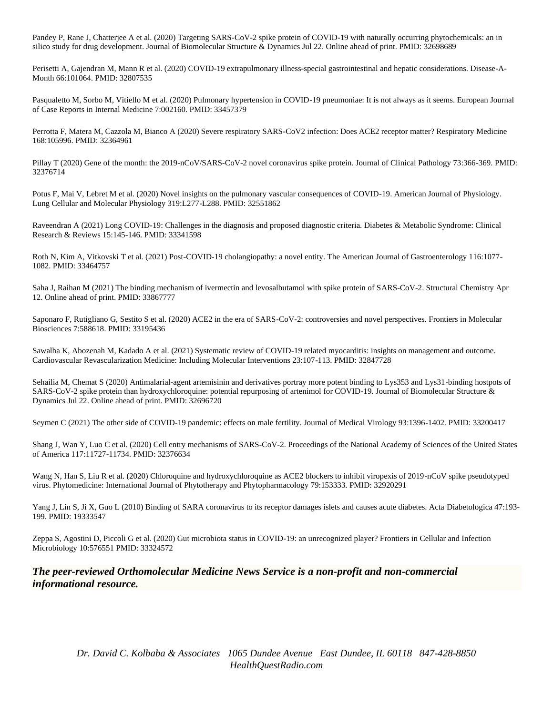Pandey P, Rane J, Chatterjee A et al. (2020) Targeting SARS-CoV-2 spike protein of COVID-19 with naturally occurring phytochemicals: an in silico study for drug development. Journal of Biomolecular Structure & Dynamics Jul 22. Online ahead of print. PMID: 32698689

Perisetti A, Gajendran M, Mann R et al. (2020) COVID-19 extrapulmonary illness-special gastrointestinal and hepatic considerations. Disease-A-Month 66:101064. PMID: 32807535

Pasqualetto M, Sorbo M, Vitiello M et al. (2020) Pulmonary hypertension in COVID-19 pneumoniae: It is not always as it seems. European Journal of Case Reports in Internal Medicine 7:002160. PMID: 33457379

Perrotta F, Matera M, Cazzola M, Bianco A (2020) Severe respiratory SARS-CoV2 infection: Does ACE2 receptor matter? Respiratory Medicine 168:105996. PMID: 32364961

Pillay T (2020) Gene of the month: the 2019-nCoV/SARS-CoV-2 novel coronavirus spike protein. Journal of Clinical Pathology 73:366-369. PMID: 32376714

Potus F, Mai V, Lebret M et al. (2020) Novel insights on the pulmonary vascular consequences of COVID-19. American Journal of Physiology. Lung Cellular and Molecular Physiology 319:L277-L288. PMID: 32551862

Raveendran A (2021) Long COVID-19: Challenges in the diagnosis and proposed diagnostic criteria. Diabetes & Metabolic Syndrome: Clinical Research & Reviews 15:145-146. PMID: 33341598

Roth N, Kim A, Vitkovski T et al. (2021) Post-COVID-19 cholangiopathy: a novel entity. The American Journal of Gastroenterology 116:1077- 1082. PMID: 33464757

Saha J, Raihan M (2021) The binding mechanism of ivermectin and levosalbutamol with spike protein of SARS-CoV-2. Structural Chemistry Apr 12. Online ahead of print. PMID: 33867777

Saponaro F, Rutigliano G, Sestito S et al. (2020) ACE2 in the era of SARS-CoV-2: controversies and novel perspectives. Frontiers in Molecular Biosciences 7:588618. PMID: 33195436

Sawalha K, Abozenah M, Kadado A et al. (2021) Systematic review of COVID-19 related myocarditis: insights on management and outcome. Cardiovascular Revascularization Medicine: Including Molecular Interventions 23:107-113. PMID: 32847728

Sehailia M, Chemat S (2020) Antimalarial-agent artemisinin and derivatives portray more potent binding to Lys353 and Lys31-binding hostpots of SARS-CoV-2 spike protein than hydroxychloroquine: potential repurposing of artenimol for COVID-19. Journal of Biomolecular Structure & Dynamics Jul 22. Online ahead of print. PMID: 32696720

Seymen C (2021) The other side of COVID-19 pandemic: effects on male fertility. Journal of Medical Virology 93:1396-1402. PMID: 33200417

Shang J, Wan Y, Luo C et al. (2020) Cell entry mechanisms of SARS-CoV-2. Proceedings of the National Academy of Sciences of the United States of America 117:11727-11734. PMID: 32376634

Wang N, Han S, Liu R et al. (2020) Chloroquine and hydroxychloroquine as ACE2 blockers to inhibit viropexis of 2019-nCoV spike pseudotyped virus. Phytomedicine: International Journal of Phytotherapy and Phytopharmacology 79:153333. PMID: 32920291

Yang J, Lin S, Ji X, Guo L (2010) Binding of SARA coronavirus to its receptor damages islets and causes acute diabetes. Acta Diabetologica 47:193- 199. PMID: 19333547

Zeppa S, Agostini D, Piccoli G et al. (2020) Gut microbiota status in COVID-19: an unrecognized player? Frontiers in Cellular and Infection Microbiology 10:576551 PMID: 33324572

#### *The peer-reviewed Orthomolecular Medicine News Service is a non-profit and non-commercial informational resource.*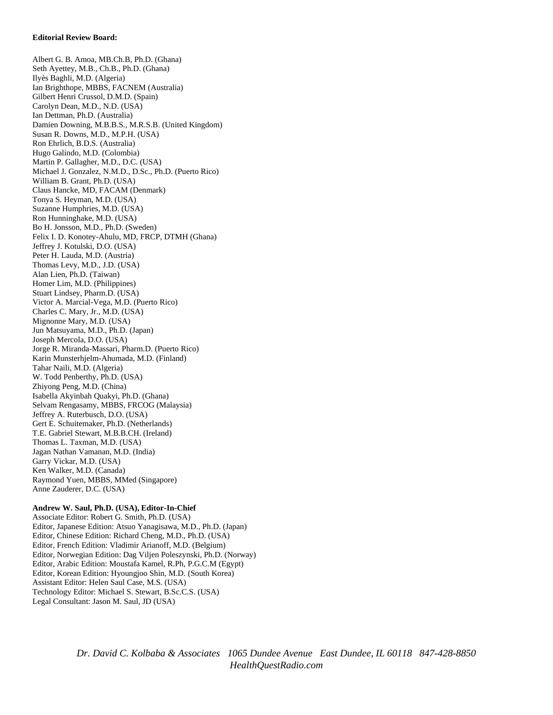#### **Editorial Review Board:**

Albert G. B. Amoa, MB.Ch.B, Ph.D. (Ghana) Seth Ayettey, M.B., Ch.B., Ph.D. (Ghana) Ilyès Baghli, M.D. (Algeria) Ian Brighthope, MBBS, FACNEM (Australia) Gilbert Henri Crussol, D.M.D. (Spain) Carolyn Dean, M.D., N.D. (USA) Ian Dettman, Ph.D. (Australia) Damien Downing, M.B.B.S., M.R.S.B. (United Kingdom) Susan R. Downs, M.D., M.P.H. (USA) Ron Ehrlich, B.D.S. (Australia) Hugo Galindo, M.D. (Colombia) Martin P. Gallagher, M.D., D.C. (USA) Michael J. Gonzalez, N.M.D., D.Sc., Ph.D. (Puerto Rico) William B. Grant, Ph.D. (USA) Claus Hancke, MD, FACAM (Denmark) Tonya S. Heyman, M.D. (USA) Suzanne Humphries, M.D. (USA) Ron Hunninghake, M.D. (USA) Bo H. Jonsson, M.D., Ph.D. (Sweden) Felix I. D. Konotey-Ahulu, MD, FRCP, DTMH (Ghana) Jeffrey J. Kotulski, D.O. (USA) Peter H. Lauda, M.D. (Austria) Thomas Levy, M.D., J.D. (USA) Alan Lien, Ph.D. (Taiwan) Homer Lim, M.D. (Philippines) Stuart Lindsey, Pharm.D. (USA) Victor A. Marcial-Vega, M.D. (Puerto Rico) Charles C. Mary, Jr., M.D. (USA) Mignonne Mary, M.D. (USA) Jun Matsuyama, M.D., Ph.D. (Japan) Joseph Mercola, D.O. (USA) Jorge R. Miranda-Massari, Pharm.D. (Puerto Rico) Karin Munsterhjelm-Ahumada, M.D. (Finland) Tahar Naili, M.D. (Algeria) W. Todd Penberthy, Ph.D. (USA) Zhiyong Peng, M.D. (China) Isabella Akyinbah Quakyi, Ph.D. (Ghana) Selvam Rengasamy, MBBS, FRCOG (Malaysia) Jeffrey A. Ruterbusch, D.O. (USA) Gert E. Schuitemaker, Ph.D. (Netherlands) T.E. Gabriel Stewart, M.B.B.CH. (Ireland) Thomas L. Taxman, M.D. (USA) Jagan Nathan Vamanan, M.D. (India) Garry Vickar, M.D. (USA) Ken Walker, M.D. (Canada) Raymond Yuen, MBBS, MMed (Singapore) Anne Zauderer, D.C. (USA)

#### **Andrew W. Saul, Ph.D. (USA), Editor-In-Chief** Associate Editor: Robert G. Smith, Ph.D. (USA)

Editor, Japanese Edition: Atsuo Yanagisawa, M.D., Ph.D. (Japan) Editor, Chinese Edition: Richard Cheng, M.D., Ph.D. (USA) Editor, French Edition: Vladimir Arianoff, M.D. (Belgium) Editor, Norwegian Edition: Dag Viljen Poleszynski, Ph.D. (Norway) Editor, Arabic Edition: Moustafa Kamel, R.Ph, P.G.C.M (Egypt) Editor, Korean Edition: Hyoungjoo Shin, M.D. (South Korea) Assistant Editor: Helen Saul Case, M.S. (USA) Technology Editor: Michael S. Stewart, B.Sc.C.S. (USA) Legal Consultant: Jason M. Saul, JD (USA)